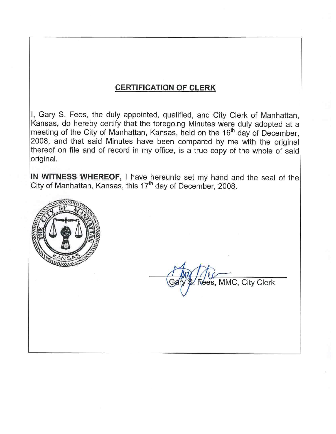# **CERTIFICATION OF CLERK**

I, Gary S. Fees, the duly appointed, qualified, and City Clerk of Manhattan, Kansas, do hereby certify that the foregoing Minutes were duly adopted at a meeting of the City of Manhattan, Kansas, held on the 16<sup>th</sup> day of December. 2008, and that said Minutes have been compared by me with the original thereof on file and of record in my office, is a true copy of the whole of said original.

IN WITNESS WHEREOF, I have hereunto set my hand and the seal of the City of Manhattan, Kansas, this 17<sup>th</sup> day of December, 2008.



lees, MMC, City Clerk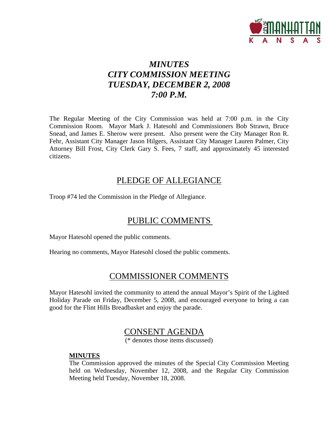

# *MINUTES CITY COMMISSION MEETING TUESDAY, DECEMBER 2, 2008 7:00 P.M.*

The Regular Meeting of the City Commission was held at 7:00 p.m. in the City Commission Room. Mayor Mark J. Hatesohl and Commissioners Bob Strawn, Bruce Snead, and James E. Sherow were present. Also present were the City Manager Ron R. Fehr, Assistant City Manager Jason Hilgers, Assistant City Manager Lauren Palmer, City Attorney Bill Frost, City Clerk Gary S. Fees, 7 staff, and approximately 45 interested citizens.

## PLEDGE OF ALLEGIANCE

Troop #74 led the Commission in the Pledge of Allegiance.

# PUBLIC COMMENTS

Mayor Hatesohl opened the public comments.

Hearing no comments, Mayor Hatesohl closed the public comments.

## COMMISSIONER COMMENTS

Mayor Hatesohl invited the community to attend the annual Mayor's Spirit of the Lighted Holiday Parade on Friday, December 5, 2008, and encouraged everyone to bring a can good for the Flint Hills Breadbasket and enjoy the parade.

## CONSENT AGENDA

(\* denotes those items discussed)

### **MINUTES**

The Commission approved the minutes of the Special City Commission Meeting held on Wednesday, November 12, 2008, and the Regular City Commission Meeting held Tuesday, November 18, 2008.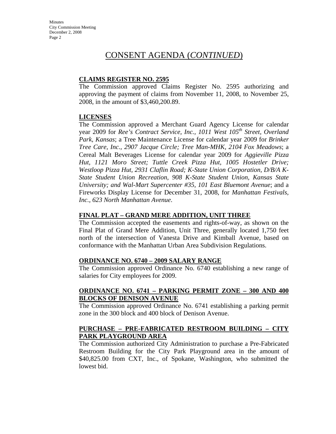## CONSENT AGENDA (*CONTINUED*)

#### **CLAIMS REGISTER NO. 2595**

The Commission approved Claims Register No. 2595 authorizing and approving the payment of claims from November 11, 2008, to November 25, 2008, in the amount of \$3,460,200.89.

#### **LICENSES**

The Commission approved a Merchant Guard Agency License for calendar year 2009 for *Ree's Contract Service, Inc., 1011 West 105th Street, Overland Park, Kansas*; a Tree Maintenance License for calendar year 2009 for *Brinker Tree Care, Inc., 2907 Jacque Circle; Tree Man-MHK, 2104 Fox Meadows*; a Cereal Malt Beverages License for calendar year 2009 for *Aggieville Pizza Hut, 1121 Moro Street; Tuttle Creek Pizza Hut, 1005 Hostetler Drive; Westloop Pizza Hut, 2931 Claflin Road; K-State Union Corporation, D/B/A K-State Student Union Recreation, 908 K-State Student Union, Kansas State University; and Wal-Mart Supercenter #35, 101 East Bluemont Avenue*; and a Fireworks Display License for December 31, 2008, for *Manhattan Festivals, Inc., 623 North Manhattan Avenue*.

#### **FINAL PLAT – GRAND MERE ADDITION, UNIT THREE**

The Commission accepted the easements and rights-of-way, as shown on the Final Plat of Grand Mere Addition, Unit Three, generally located 1,750 feet north of the intersection of Vanesta Drive and Kimball Avenue, based on conformance with the Manhattan Urban Area Subdivision Regulations.

#### **ORDINANCE NO. 6740 – 2009 SALARY RANGE**

The Commission approved Ordinance No. 6740 establishing a new range of salaries for City employees for 2009.

### **ORDINANCE NO. 6741 – PARKING PERMIT ZONE – 300 AND 400 BLOCKS OF DENISON AVENUE**

The Commission approved Ordinance No. 6741 establishing a parking permit zone in the 300 block and 400 block of Denison Avenue.

### **PURCHASE – PRE-FABRICATED RESTROOM BUILDING – CITY PARK PLAYGROUND AREA**

The Commission authorized City Administration to purchase a Pre-Fabricated Restroom Building for the City Park Playground area in the amount of \$40,825.00 from CXT, Inc., of Spokane, Washington, who submitted the lowest bid.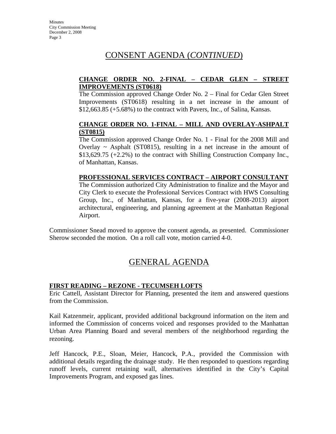# CONSENT AGENDA (*CONTINUED*)

#### **CHANGE ORDER NO. 2-FINAL – CEDAR GLEN – STREET IMPROVEMENTS (ST0618)**

The Commission approved Change Order No. 2 – Final for Cedar Glen Street Improvements (ST0618) resulting in a net increase in the amount of  $$12,663.85$  (+5.68%) to the contract with Pavers, Inc., of Salina, Kansas.

#### **CHANGE ORDER NO. 1-FINAL – MILL AND OVERLAY-ASHPALT (ST0815)**

The Commission approved Change Order No. 1 - Final for the 2008 Mill and Overlay  $\sim$  Asphalt (ST0815), resulting in a net increase in the amount of \$13,629.75 (+2.2%) to the contract with Shilling Construction Company Inc., of Manhattan, Kansas.

### **PROFESSIONAL SERVICES CONTRACT – AIRPORT CONSULTANT**

The Commission authorized City Administration to finalize and the Mayor and City Clerk to execute the Professional Services Contract with HWS Consulting Group, Inc., of Manhattan, Kansas, for a five-year (2008-2013) airport architectural, engineering, and planning agreement at the Manhattan Regional Airport.

Commissioner Snead moved to approve the consent agenda, as presented. Commissioner Sherow seconded the motion. On a roll call vote, motion carried 4-0.

## GENERAL AGENDA

### **FIRST READING – REZONE - TECUMSEH LOFTS**

Eric Cattell, Assistant Director for Planning, presented the item and answered questions from the Commission.

Kail Katzenmeir, applicant, provided additional background information on the item and informed the Commission of concerns voiced and responses provided to the Manhattan Urban Area Planning Board and several members of the neighborhood regarding the rezoning.

Jeff Hancock, P.E., Sloan, Meier, Hancock, P.A., provided the Commission with additional details regarding the drainage study. He then responded to questions regarding runoff levels, current retaining wall, alternatives identified in the City's Capital Improvements Program, and exposed gas lines.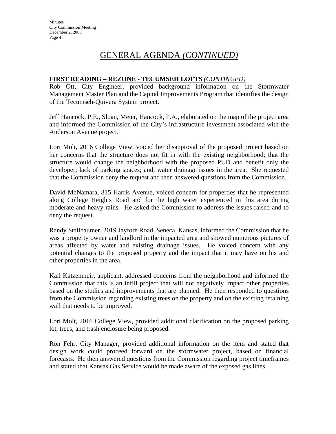# GENERAL AGENDA *(CONTINUED)*

#### **FIRST READING – REZONE - TECUMSEH LOFTS** *(CONTINUED)*

Rob Ott, City Engineer, provided background information on the Stormwater Management Master Plan and the Capital Improvements Program that identifies the design of the Tecumseh-Quivera System project.

Jeff Hancock, P.E., Sloan, Meier, Hancock, P.A., elaborated on the map of the project area and informed the Commission of the City's infrastructure investment associated with the Anderson Avenue project.

Lori Molt, 2016 College View, voiced her disapproval of the proposed project based on her concerns that the structure does not fit in with the existing neighborhood; that the structure would change the neighborhood with the proposed PUD and benefit only the developer; lack of parking spaces; and, water drainage issues in the area. She requested that the Commission deny the request and then answered questions from the Commission.

David McNamara, 815 Harris Avenue, voiced concern for properties that he represented along College Heights Road and for the high water experienced in this area during moderate and heavy rains. He asked the Commission to address the issues raised and to deny the request.

Randy Stallbaumer, 2019 Jayfore Road, Seneca, Kansas, informed the Commission that he was a property owner and landlord in the impacted area and showed numerous pictures of areas affected by water and existing drainage issues. He voiced concern with any potential changes to the proposed property and the impact that it may have on his and other properties in the area.

Kail Katzenmeir, applicant, addressed concerns from the neighborhood and informed the Commission that this is an infill project that will not negatively impact other properties based on the studies and improvements that are planned. He then responded to questions from the Commission regarding existing trees on the property and on the existing retaining wall that needs to be improved.

Lori Molt, 2016 College View, provided additional clarification on the proposed parking lot, trees, and trash enclosure being proposed.

Ron Fehr, City Manager, provided additional information on the item and stated that design work could proceed forward on the stormwater project, based on financial forecasts. He then answered questions from the Commission regarding project timeframes and stated that Kansas Gas Service would be made aware of the exposed gas lines.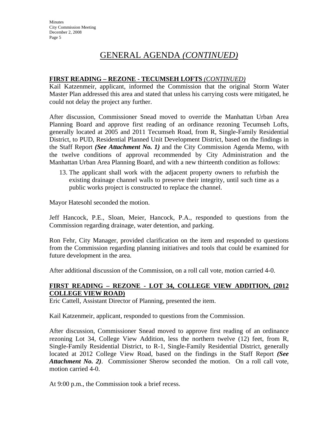# GENERAL AGENDA *(CONTINUED)*

#### **FIRST READING – REZONE - TECUMSEH LOFTS** *(CONTINUED)*

Kail Katzenmeir, applicant, informed the Commission that the original Storm Water Master Plan addressed this area and stated that unless his carrying costs were mitigated, he could not delay the project any further.

After discussion, Commissioner Snead moved to override the Manhattan Urban Area Planning Board and approve first reading of an ordinance rezoning Tecumseh Lofts, generally located at 2005 and 2011 Tecumseh Road, from R, Single-Family Residential District, to PUD, Residential Planned Unit Development District, based on the findings in the Staff Report *(See Attachment No. 1)* and the City Commission Agenda Memo, with the twelve conditions of approval recommended by City Administration and the Manhattan Urban Area Planning Board, and with a new thirteenth condition as follows:

13. The applicant shall work with the adjacent property owners to refurbish the existing drainage channel walls to preserve their integrity, until such time as a public works project is constructed to replace the channel.

Mayor Hatesohl seconded the motion.

Jeff Hancock, P.E., Sloan, Meier, Hancock, P.A., responded to questions from the Commission regarding drainage, water detention, and parking.

Ron Fehr, City Manager, provided clarification on the item and responded to questions from the Commission regarding planning initiatives and tools that could be examined for future development in the area.

After additional discussion of the Commission, on a roll call vote, motion carried 4-0.

### **FIRST READING – REZONE - LOT 34, COLLEGE VIEW ADDITION, (2012 COLLEGE VIEW ROAD)**

Eric Cattell, Assistant Director of Planning, presented the item.

Kail Katzenmeir, applicant, responded to questions from the Commission.

After discussion, Commissioner Snead moved to approve first reading of an ordinance rezoning Lot 34, College View Addition, less the northern twelve (12) feet, from R, Single-Family Residential District, to R-1, Single-Family Residential District, generally located at 2012 College View Road, based on the findings in the Staff Report *(See Attachment No. 2)*. Commissioner Sherow seconded the motion. On a roll call vote, motion carried 4-0.

At 9:00 p.m., the Commission took a brief recess.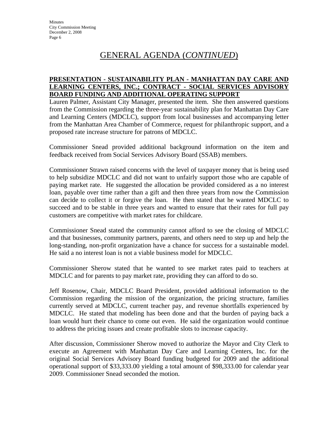# GENERAL AGENDA (*CONTINUED*)

#### **PRESENTATION - SUSTAINABILITY PLAN - MANHATTAN DAY CARE AND LEARNING CENTERS, INC.; CONTRACT - SOCIAL SERVICES ADVISORY BOARD FUNDING AND ADDITIONAL OPERATING SUPPORT**

Lauren Palmer, Assistant City Manager, presented the item. She then answered questions from the Commission regarding the three-year sustainability plan for Manhattan Day Care and Learning Centers (MDCLC), support from local businesses and accompanying letter from the Manhattan Area Chamber of Commerce, request for philanthropic support, and a proposed rate increase structure for patrons of MDCLC.

Commissioner Snead provided additional background information on the item and feedback received from Social Services Advisory Board (SSAB) members.

Commissioner Strawn raised concerns with the level of taxpayer money that is being used to help subsidize MDCLC and did not want to unfairly support those who are capable of paying market rate. He suggested the allocation be provided considered as a no interest loan, payable over time rather than a gift and then three years from now the Commission can decide to collect it or forgive the loan. He then stated that he wanted MDCLC to succeed and to be stable in three years and wanted to ensure that their rates for full pay customers are competitive with market rates for childcare.

Commissioner Snead stated the community cannot afford to see the closing of MDCLC and that businesses, community partners, parents, and others need to step up and help the long-standing, non-profit organization have a chance for success for a sustainable model. He said a no interest loan is not a viable business model for MDCLC.

Commissioner Sherow stated that he wanted to see market rates paid to teachers at MDCLC and for parents to pay market rate, providing they can afford to do so.

Jeff Rosenow, Chair, MDCLC Board President, provided additional information to the Commission regarding the mission of the organization, the pricing structure, families currently served at MDCLC, current teacher pay, and revenue shortfalls experienced by MDCLC. He stated that modeling has been done and that the burden of paying back a loan would hurt their chance to come out even. He said the organization would continue to address the pricing issues and create profitable slots to increase capacity.

After discussion, Commissioner Sherow moved to authorize the Mayor and City Clerk to execute an Agreement with Manhattan Day Care and Learning Centers, Inc. for the original Social Services Advisory Board funding budgeted for 2009 and the additional operational support of \$33,333.00 yielding a total amount of \$98,333.00 for calendar year 2009. Commissioner Snead seconded the motion.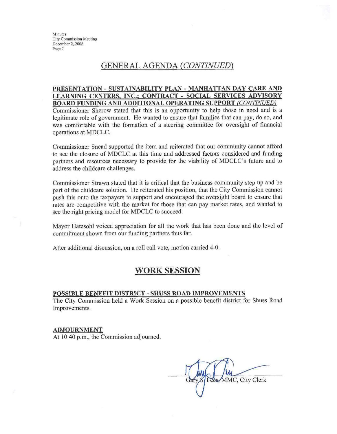## **GENERAL AGENDA (CONTINUED)**

#### PRESENTATION - SUSTAINABILITY PLAN - MANHATTAN DAY CARE AND LEARNING CENTERS, INC.; CONTRACT - SOCIAL SERVICES ADVISORY **BOARD FUNDING AND ADDITIONAL OPERATING SUPPORT (CONTINUED)**

Commissioner Sherow stated that this is an opportunity to help those in need and is a legitimate role of government. He wanted to ensure that families that can pay, do so, and was comfortable with the formation of a steering committee for oversight of financial operations at MDCLC.

Commissioner Snead supported the item and reiterated that our community cannot afford to see the closure of MDCLC at this time and addressed factors considered and funding partners and resources necessary to provide for the viability of MDCLC's future and to address the childcare challenges.

Commissioner Strawn stated that it is critical that the business community step up and be part of the childcare solution. He reiterated his position, that the City Commission cannot push this onto the taxpayers to support and encouraged the oversight board to ensure that rates are competitive with the market for those that can pay market rates, and wanted to see the right pricing model for MDCLC to succeed.

Mayor Hatesohl voiced appreciation for all the work that has been done and the level of commitment shown from our funding partners thus far.

After additional discussion, on a roll call vote, motion carried 4-0.

### **WORK SESSION**

#### POSSIBLE BENEFIT DISTRICT - SHUSS ROAD IMPROVEMENTS

The City Commission held a Work Session on a possible benefit district for Shuss Road Improvements.

#### **ADJOURNMENT**

At 10:40 p.m., the Commission adjourned.

MMC, City Clerk Fees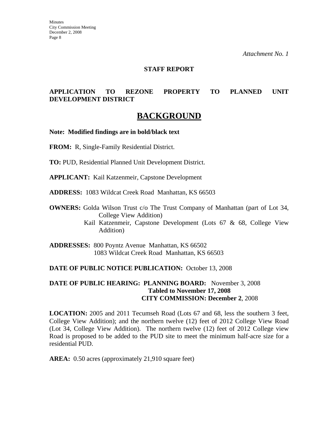#### **STAFF REPORT**

### **APPLICATION TO REZONE PROPERTY TO PLANNED UNIT DEVELOPMENT DISTRICT**

## **BACKGROUND**

**Note: Modified findings are in bold/black text** 

**FROM:** R, Single-Family Residential District.

**TO:** PUD, Residential Planned Unit Development District.

**APPLICANT:** Kail Katzenmeir, Capstone Development

**ADDRESS:** 1083 Wildcat Creek Road Manhattan, KS 66503

**OWNERS:** Golda Wilson Trust c/o The Trust Company of Manhattan (part of Lot 34, College View Addition)

> Kail Katzenmeir, Capstone Development (Lots 67 & 68, College View Addition)

**ADDRESSES:** 800 Poyntz Avenue Manhattan, KS 66502 1083 Wildcat Creek Road Manhattan, KS 66503

#### **DATE OF PUBLIC NOTICE PUBLICATION:** October 13, 2008

#### **DATE OF PUBLIC HEARING: PLANNING BOARD:** November 3, 2008 **Tabled to November 17, 2008 CITY COMMISSION: December 2**, 2008

**LOCATION:** 2005 and 2011 Tecumseh Road (Lots 67 and 68, less the southern 3 feet, College View Addition); and the northern twelve (12) feet of 2012 College View Road (Lot 34, College View Addition). The northern twelve (12) feet of 2012 College view Road is proposed to be added to the PUD site to meet the minimum half-acre size for a residential PUD.

**AREA:** 0.50 acres (approximately 21,910 square feet)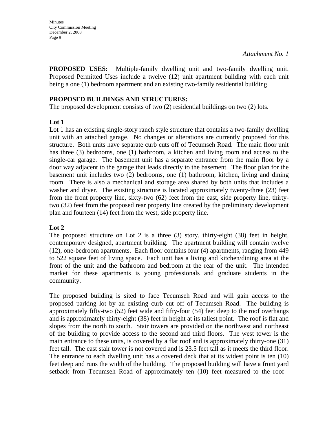**PROPOSED USES:** Multiple-family dwelling unit and two-family dwelling unit. Proposed Permitted Uses include a twelve (12) unit apartment building with each unit being a one (1) bedroom apartment and an existing two-family residential building.

#### **PROPOSED BUILDINGS AND STRUCTURES:**

The proposed development consists of two (2) residential buildings on two (2) lots.

### **Lot 1**

Lot 1 has an existing single-story ranch style structure that contains a two-family dwelling unit with an attached garage. No changes or alterations are currently proposed for this structure. Both units have separate curb cuts off of Tecumseh Road. The main floor unit has three (3) bedrooms, one (1) bathroom, a kitchen and living room and access to the single-car garage. The basement unit has a separate entrance from the main floor by a door way adjacent to the garage that leads directly to the basement. The floor plan for the basement unit includes two (2) bedrooms, one (1) bathroom, kitchen, living and dining room. There is also a mechanical and storage area shared by both units that includes a washer and dryer. The existing structure is located approximately twenty-three  $(23)$  feet from the front property line, sixty-two (62) feet from the east, side property line, thirtytwo (32) feet from the proposed rear property line created by the preliminary development plan and fourteen (14) feet from the west, side property line.

### **Lot 2**

The proposed structure on Lot 2 is a three (3) story, thirty-eight (38) feet in height, contemporary designed, apartment building. The apartment building will contain twelve (12), one-bedroom apartments. Each floor contains four (4) apartments, ranging from 449 to 522 square feet of living space. Each unit has a living and kitchen/dining area at the front of the unit and the bathroom and bedroom at the rear of the unit. The intended market for these apartments is young professionals and graduate students in the community.

The proposed building is sited to face Tecumseh Road and will gain access to the proposed parking lot by an existing curb cut off of Tecumseh Road. The building is approximately fifty-two (52) feet wide and fifty-four (54) feet deep to the roof overhangs and is approximately thirty-eight (38) feet in height at its tallest point. The roof is flat and slopes from the north to south. Stair towers are provided on the northwest and northeast of the building to provide access to the second and third floors. The west tower is the main entrance to these units, is covered by a flat roof and is approximately thirty-one (31) feet tall. The east stair tower is not covered and is 23.5 feet tall as it meets the third floor. The entrance to each dwelling unit has a covered deck that at its widest point is ten (10) feet deep and runs the width of the building. The proposed building will have a front yard setback from Tecumseh Road of approximately ten (10) feet measured to the roof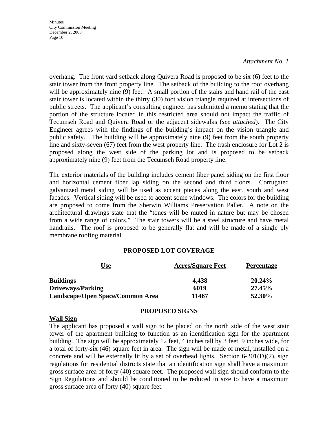#### *Attachment No. 1*

overhang. The front yard setback along Quivera Road is proposed to be six (6) feet to the stair tower from the front property line. The setback of the building to the roof overhang will be approximately nine (9) feet. A small portion of the stairs and hand rail of the east stair tower is located within the thirty (30) foot vision triangle required at intersections of public streets. The applicant's consulting engineer has submitted a memo stating that the portion of the structure located in this restricted area should not impact the traffic of Tecumseh Road and Quivera Road or the adjacent sidewalks (*see attached*). The City Engineer agrees with the findings of the building's impact on the vision triangle and public safety. The building will be approximately nine (9) feet from the south property line and sixty-seven (67) feet from the west property line. The trash enclosure for Lot 2 is proposed along the west side of the parking lot and is proposed to be setback approximately nine (9) feet from the Tecumseh Road property line.

The exterior materials of the building includes cement fiber panel siding on the first floor and horizontal cement fiber lap siding on the second and third floors. Corrugated galvanized metal siding will be used as accent pieces along the east, south and west facades. Vertical siding will be used to accent some windows. The colors for the building are proposed to come from the Sherwin Williams Preservation Pallet. A note on the architectural drawings state that the "tones will be muted in nature but may be chosen from a wide range of colors." The stair towers will be a steel structure and have metal handrails. The roof is proposed to be generally flat and will be made of a single ply membrane roofing material.

#### **PROPOSED LOT COVERAGE**

| <u>Use</u>                       | <b>Acres/Square Feet</b> | <b>Percentage</b> |
|----------------------------------|--------------------------|-------------------|
| <b>Buildings</b>                 | 4,438                    | 20.24%            |
| <b>Driveways/Parking</b>         | 6019                     | 27.45%            |
| Landscape/Open Space/Common Area | 11467                    | 52.30%            |

#### **Wall Sign**

#### **PROPOSED SIGNS**

The applicant has proposed a wall sign to be placed on the north side of the west stair tower of the apartment building to function as an identification sign for the apartment building. The sign will be approximately 12 feet, 4 inches tall by 3 feet, 9 inches wide, for a total of forty-six (46) square feet in area. The sign will be made of metal, installed on a concrete and will be externally lit by a set of overhead lights. Section 6-201(D)(2), sign regulations for residential districts state that an identification sign shall have a maximum gross surface area of forty (40) square feet. The proposed wall sign should conform to the Sign Regulations and should be conditioned to be reduced in size to have a maximum gross surface area of forty (40) square feet.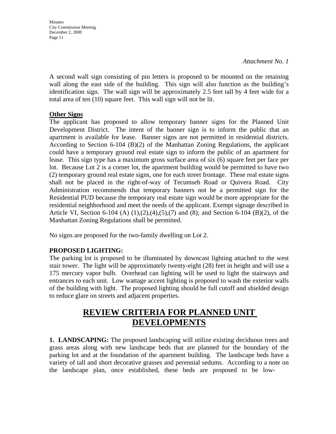**Minutes** City Commission Meeting December 2, 2008 Page 11

A second wall sign consisting of pin letters is proposed to be mounted on the retaining wall along the east side of the building. This sign will also function as the building's identification sign. The wall sign will be approximately 2.5 feet tall by 4 feet wide for a total area of ten (10) square feet. This wall sign will not be lit.

### **Other Signs**

The applicant has proposed to allow temporary banner signs for the Planned Unit Development District. The intent of the banner sign is to inform the public that an apartment is available for lease. Banner signs are not permitted in residential districts. According to Section 6-104 (B)(2) of the Manhattan Zoning Regulations, the applicant could have a temporary ground real estate sign to inform the public of an apartment for lease. This sign type has a maximum gross surface area of six (6) square feet per face per lot. Because Lot 2 is a corner lot, the apartment building would be permitted to have two (2) temporary ground real estate signs, one for each street frontage. These real estate signs shall not be placed in the right-of-way of Tecumseh Road or Quivera Road. City Administration recommends that temporary banners not be a permitted sign for the Residential PUD because the temporary real estate sign would be more appropriate for the residential neighborhood and meet the needs of the applicant. Exempt signage described in Article VI, Section 6-104 (A) (1),(2),(4),(5),(7) and (8); and Section 6-104 (B)(2), of the Manhattan Zoning Regulations shall be permitted.

No signs are proposed for the two-family dwelling on Lot 2.

### **PROPOSED LIGHTING:**

The parking lot is proposed to be illuminated by downcast lighting attached to the west stair tower. The light will be approximately twenty-eight (28) feet in height and will use a 175 mercury vapor bulb. Overhead can lighting will be used to light the stairways and entrances to each unit. Low wattage accent lighting is proposed to wash the exterior walls of the building with light. The proposed lighting should be full cutoff and shielded design to reduce glare on streets and adjacent properties.

# **REVIEW CRITERIA FOR PLANNED UNIT DEVELOPMENTS**

**1. LANDSCAPING:** The proposed landscaping will utilize existing deciduous trees and grass areas along with new landscape beds that are planned for the boundary of the parking lot and at the foundation of the apartment building. The landscape beds have a variety of tall and short decorative grasses and perennial sedums. According to a note on the landscape plan, once established, these beds are proposed to be low-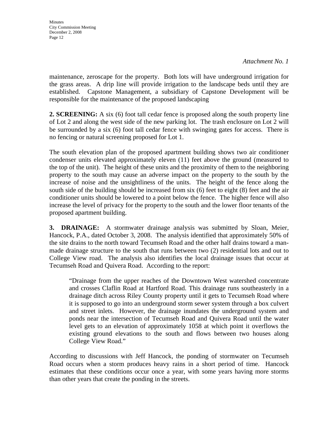*Attachment No. 1* 

maintenance, zeroscape for the property. Both lots will have underground irrigation for the grass areas. A drip line will provide irrigation to the landscape beds until they are established. Capstone Management, a subsidiary of Capstone Development will be responsible for the maintenance of the proposed landscaping

**2. SCREENING:** A six (6) foot tall cedar fence is proposed along the south property line of Lot 2 and along the west side of the new parking lot. The trash enclosure on Lot 2 will be surrounded by a six (6) foot tall cedar fence with swinging gates for access. There is no fencing or natural screening proposed for Lot 1.

The south elevation plan of the proposed apartment building shows two air conditioner condenser units elevated approximately eleven (11) feet above the ground (measured to the top of the unit). The height of these units and the proximity of them to the neighboring property to the south may cause an adverse impact on the property to the south by the increase of noise and the unsightliness of the units. The height of the fence along the south side of the building should be increased from six (6) feet to eight (8) feet and the air conditioner units should be lowered to a point below the fence. The higher fence will also increase the level of privacy for the property to the south and the lower floor tenants of the proposed apartment building.

**3. DRAINAGE:** A stormwater drainage analysis was submitted by Sloan, Meier, Hancock, P.A., dated October 3, 2008. The analysis identified that approximately 50% of the site drains to the north toward Tecumseh Road and the other half drains toward a manmade drainage structure to the south that runs between two (2) residential lots and out to College View road. The analysis also identifies the local drainage issues that occur at Tecumseh Road and Quivera Road. According to the report:

"Drainage from the upper reaches of the Downtown West watershed concentrate and crosses Claflin Road at Hartford Road. This drainage runs southeasterly in a drainage ditch across Riley County property until it gets to Tecumseh Road where it is supposed to go into an underground storm sewer system through a box culvert and street inlets. However, the drainage inundates the underground system and ponds near the intersection of Tecumseh Road and Quivera Road until the water level gets to an elevation of approximately 1058 at which point it overflows the existing ground elevations to the south and flows between two houses along College View Road."

According to discussions with Jeff Hancock, the ponding of stormwater on Tecumseh Road occurs when a storm produces heavy rains in a short period of time. Hancock estimates that these conditions occur once a year, with some years having more storms than other years that create the ponding in the streets.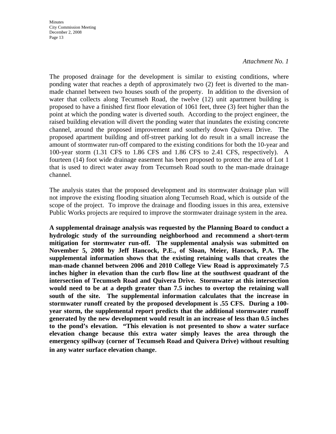#### *Attachment No. 1*

The proposed drainage for the development is similar to existing conditions, where ponding water that reaches a depth of approximately two (2) feet is diverted to the manmade channel between two houses south of the property. In addition to the diversion of water that collects along Tecumseh Road, the twelve (12) unit apartment building is proposed to have a finished first floor elevation of 1061 feet, three (3) feet higher than the point at which the ponding water is diverted south. According to the project engineer, the raised building elevation will divert the ponding water that inundates the existing concrete channel, around the proposed improvement and southerly down Quivera Drive. The proposed apartment building and off-street parking lot do result in a small increase the amount of stormwater run-off compared to the existing conditions for both the 10-year and 100-year storm (1.31 CFS to 1.86 CFS and 1.86 CFS to 2.41 CFS, respectively). A fourteen (14) foot wide drainage easement has been proposed to protect the area of Lot 1 that is used to direct water away from Tecumseh Road south to the man-made drainage channel.

The analysis states that the proposed development and its stormwater drainage plan will not improve the existing flooding situation along Tecumseh Road, which is outside of the scope of the project. To improve the drainage and flooding issues in this area, extensive Public Works projects are required to improve the stormwater drainage system in the area.

**A supplemental drainage analysis was requested by the Planning Board to conduct a hydrologic study of the surrounding neighborhood and recommend a short-term mitigation for stormwater run-off. The supplemental analysis was submitted on November 5, 2008 by Jeff Hancock, P.E., of Sloan, Meier, Hancock, P.A. The supplemental information shows that the existing retaining walls that creates the man-made channel between 2006 and 2010 College View Road is approximately 7.5 inches higher in elevation than the curb flow line at the southwest quadrant of the intersection of Tecumseh Road and Quivera Drive. Stormwater at this intersection would need to be at a depth greater than 7.5 inches to overtop the retaining wall south of the site. The supplemental information calculates that the increase in stormwater runoff created by the proposed development is .55 CFS. During a 100 year storm, the supplemental report predicts that the additional stormwater runoff generated by the new development would result in an increase of less than 0.5 inches to the pond's elevation. "This elevation is not presented to show a water surface elevation change because this extra water simply leaves the area through the emergency spillway (corner of Tecumseh Road and Quivera Drive) without resulting in any water surface elevation change**.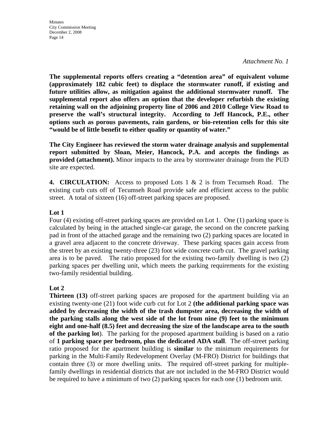*Attachment No. 1* 

**The supplemental reports offers creating a "detention area" of equivalent volume (approximately 182 cubic feet) to displace the stormwater runoff, if existing and future utilities allow, as mitigation against the additional stormwater runoff. The supplemental report also offers an option that the developer refurbish the existing retaining wall on the adjoining property line of 2006 and 2010 College View Road to preserve the wall's structural integrity. According to Jeff Hancock, P.E., other options such as porous pavements, rain gardens, or bio-retention cells for this site "would be of little benefit to either quality or quantity of water."**

**The City Engineer has reviewed the storm water drainage analysis and supplemental report submitted by Sloan, Meier, Hancock, P.A. and accepts the findings as provided (attachment).** Minor impacts to the area by stormwater drainage from the PUD site are expected.

**4. CIRCULATION:** Access to proposed Lots 1 & 2 is from Tecumseh Road. The existing curb cuts off of Tecumseh Road provide safe and efficient access to the public street. A total of sixteen (16) off-street parking spaces are proposed.

### **Lot 1**

Four (4) existing off-street parking spaces are provided on Lot 1. One (1) parking space is calculated by being in the attached single-car garage, the second on the concrete parking pad in front of the attached garage and the remaining two (2) parking spaces are located in a gravel area adjacent to the concrete driveway. These parking spaces gain access from the street by an existing twenty-three (23) foot wide concrete curb cut. The gravel parking area is to be paved. The ratio proposed for the existing two-family dwelling is two (2) parking spaces per dwelling unit, which meets the parking requirements for the existing two-family residential building.

### **Lot 2**

**Thirteen** (13) off-street parking spaces are proposed for the apartment building via an existing twenty-one (21) foot wide curb cut for Lot 2 **(the additional parking space was added by decreasing the width of the trash dumpster area, decreasing the width of the parking stalls along the west side of the lot from nine (9) feet to the minimum eight and one-half (8.5) feet and decreasing the size of the landscape area to the south of the parking lot**). The parking for the proposed apartment building is based on a ratio of **1 parking space per bedroom, plus the dedicated ADA stall**. The off-street parking ratio proposed for the apartment building is **similar** to the minimum requirements for parking in the Multi-Family Redevelopment Overlay (M-FRO) District for buildings that contain three (3) or more dwelling units. The required off-street parking for multiplefamily dwellings in residential districts that are not included in the M-FRO District would be required to have a minimum of two (2) parking spaces for each one (1) bedroom unit.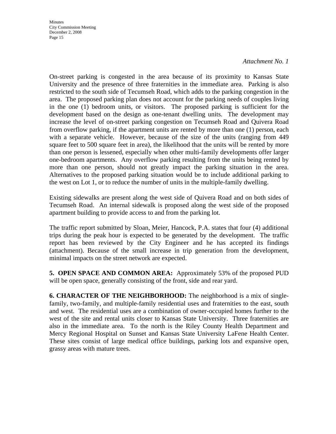#### *Attachment No. 1*

On-street parking is congested in the area because of its proximity to Kansas State University and the presence of three fraternities in the immediate area. Parking is also restricted to the south side of Tecumseh Road, which adds to the parking congestion in the area. The proposed parking plan does not account for the parking needs of couples living in the one (1) bedroom units, or visitors. The proposed parking is sufficient for the development based on the design as one-tenant dwelling units. The development may increase the level of on-street parking congestion on Tecumseh Road and Quivera Road from overflow parking, if the apartment units are rented by more than one (1) person, each with a separate vehicle. However, because of the size of the units (ranging from 449 square feet to 500 square feet in area), the likelihood that the units will be rented by more than one person is lessened, especially when other multi-family developments offer larger one-bedroom apartments. Any overflow parking resulting from the units being rented by more than one person, should not greatly impact the parking situation in the area. Alternatives to the proposed parking situation would be to include additional parking to the west on Lot 1, or to reduce the number of units in the multiple-family dwelling.

Existing sidewalks are present along the west side of Quivera Road and on both sides of Tecumseh Road. An internal sidewalk is proposed along the west side of the proposed apartment building to provide access to and from the parking lot.

The traffic report submitted by Sloan, Meier, Hancock, P.A. states that four (4) additional trips during the peak hour is expected to be generated by the development. The traffic report has been reviewed by the City Engineer and he has accepted its findings (attachment). Because of the small increase in trip generation from the development, minimal impacts on the street network are expected.

**5. OPEN SPACE AND COMMON AREA:** Approximately 53% of the proposed PUD will be open space, generally consisting of the front, side and rear yard.

**6. CHARACTER OF THE NEIGHBORHOOD:** The neighborhood is a mix of singlefamily, two-family, and multiple-family residential uses and fraternities to the east, south and west. The residential uses are a combination of owner-occupied homes further to the west of the site and rental units closer to Kansas State University. Three fraternities are also in the immediate area. To the north is the Riley County Health Department and Mercy Regional Hospital on Sunset and Kansas State University LaFene Health Center. These sites consist of large medical office buildings, parking lots and expansive open, grassy areas with mature trees.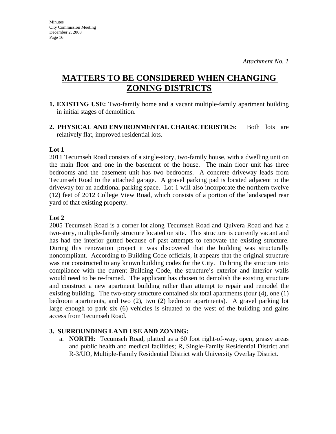# **MATTERS TO BE CONSIDERED WHEN CHANGING ZONING DISTRICTS**

- **1. EXISTING USE:** Two-family home and a vacant multiple-family apartment building in initial stages of demolition.
- 2. PHYSICAL AND ENVIRONMENTAL CHARACTERISTICS: Both lots are relatively flat, improved residential lots.

#### **Lot 1**

2011 Tecumseh Road consists of a single-story, two-family house, with a dwelling unit on the main floor and one in the basement of the house. The main floor unit has three bedrooms and the basement unit has two bedrooms. A concrete driveway leads from Tecumseh Road to the attached garage. A gravel parking pad is located adjacent to the driveway for an additional parking space. Lot 1 will also incorporate the northern twelve (12) feet of 2012 College View Road, which consists of a portion of the landscaped rear yard of that existing property.

#### **Lot 2**

2005 Tecumseh Road is a corner lot along Tecumseh Road and Quivera Road and has a two-story, multiple-family structure located on site. This structure is currently vacant and has had the interior gutted because of past attempts to renovate the existing structure. During this renovation project it was discovered that the building was structurally noncompliant. According to Building Code officials, it appears that the original structure was not constructed to any known building codes for the City. To bring the structure into compliance with the current Building Code, the structure's exterior and interior walls would need to be re-framed. The applicant has chosen to demolish the existing structure and construct a new apartment building rather than attempt to repair and remodel the existing building. The two-story structure contained six total apartments (four (4), one (1) bedroom apartments, and two (2), two (2) bedroom apartments). A gravel parking lot large enough to park six (6) vehicles is situated to the west of the building and gains access from Tecumseh Road.

#### **3. SURROUNDING LAND USE AND ZONING:**

a. **NORTH:** Tecumseh Road, platted as a 60 foot right-of-way, open, grassy areas and public health and medical facilities; R, Single-Family Residential District and R-3/UO, Multiple-Family Residential District with University Overlay District.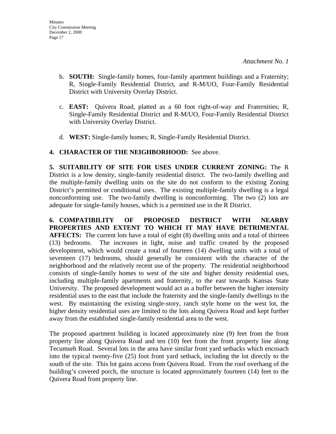- b. **SOUTH:** Single-family homes, four-family apartment buildings and a Fraternity; R, Single-Family Residential District, and R-M/UO, Four-Family Residential District with University Overlay District.
- c. **EAST:** Quivera Road, platted as a 60 foot right-of-way and Fraternities; R, Single-Family Residential District and R-M/UO, Four-Family Residential District with University Overlay District.
- d. **WEST:** Single-family homes; R, Single-Family Residential District.

### **4. CHARACTER OF THE NEIGHBORHOOD:** See above.

**5. SUITABILITY OF SITE FOR USES UNDER CURRENT ZONING:** The R District is a low density, single-family residential district. The two-family dwelling and the multiple-family dwelling units on the site do not conform to the existing Zoning District's permitted or conditional uses. The existing multiple-family dwelling is a legal nonconforming use. The two-family dwelling is nonconforming. The two (2) lots are adequate for single-family houses, which is a permitted use in the R District.

**6. COMPATIBILITY OF PROPOSED DISTRICT WITH NEARBY PROPERTIES AND EXTENT TO WHICH IT MAY HAVE DETRIMENTAL AFFECTS:** The current lots have a total of eight (8) dwelling units and a total of thirteen (13) bedrooms. The increases in light, noise and traffic created by the proposed development, which would create a total of fourteen (14) dwelling units with a total of seventeen (17) bedrooms, should generally be consistent with the character of the neighborhood and the relatively recent use of the property. The residential neighborhood consists of single-family homes to west of the site and higher density residential uses, including multiple-family apartments and fraternity, to the east towards Kansas State University. The proposed development would act as a buffer between the higher intensity residential uses to the east that include the fraternity and the single-family dwellings to the west. By maintaining the existing single-story, ranch style home on the west lot, the higher density residential uses are limited to the lots along Quivera Road and kept further away from the established single-family residential area to the west.

The proposed apartment building is located approximately nine (9) feet from the front property line along Quivera Road and ten (10) feet from the front property line along Tecumseh Road. Several lots in the area have similar front yard setbacks which encroach into the typical twenty-five (25) foot front yard setback, including the lot directly to the south of the site. This lot gains access from Quivera Road. From the roof overhang of the building's covered porch, the structure is located approximately fourteen (14) feet to the Quivera Road front property line.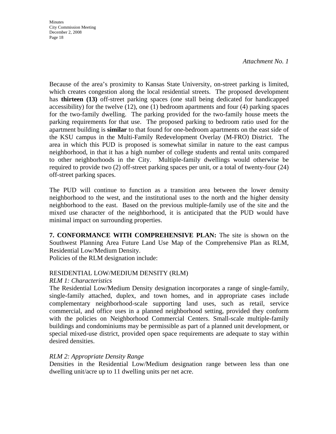*Attachment No. 1* 

Because of the area's proximity to Kansas State University, on-street parking is limited, which creates congestion along the local residential streets. The proposed development has **thirteen (13)** off-street parking spaces (one stall being dedicated for handicapped accessibility) for the twelve (12), one (1) bedroom apartments and four (4) parking spaces for the two-family dwelling. The parking provided for the two-family house meets the parking requirements for that use. The proposed parking to bedroom ratio used for the apartment building is **similar** to that found for one-bedroom apartments on the east side of the KSU campus in the Multi-Family Redevelopment Overlay (M-FRO) District. The area in which this PUD is proposed is somewhat similar in nature to the east campus neighborhood, in that it has a high number of college students and rental units compared to other neighborhoods in the City. Multiple-family dwellings would otherwise be required to provide two (2) off-street parking spaces per unit, or a total of twenty-four (24) off-street parking spaces.

The PUD will continue to function as a transition area between the lower density neighborhood to the west, and the institutional uses to the north and the higher density neighborhood to the east. Based on the previous multiple-family use of the site and the mixed use character of the neighborhood, it is anticipated that the PUD would have minimal impact on surrounding properties.

**7. CONFORMANCE WITH COMPREHENSIVE PLAN:** The site is shown on the Southwest Planning Area Future Land Use Map of the Comprehensive Plan as RLM, Residential Low/Medium Density.

Policies of the RLM designation include:

#### RESIDENTIAL LOW/MEDIUM DENSITY (RLM)

#### *RLM 1: Characteristics*

The Residential Low/Medium Density designation incorporates a range of single-family, single-family attached, duplex, and town homes, and in appropriate cases include complementary neighborhood-scale supporting land uses, such as retail, service commercial, and office uses in a planned neighborhood setting, provided they conform with the policies on Neighborhood Commercial Centers. Small-scale multiple-family buildings and condominiums may be permissible as part of a planned unit development, or special mixed-use district, provided open space requirements are adequate to stay within desired densities.

#### *RLM 2: Appropriate Density Range*

Densities in the Residential Low/Medium designation range between less than one dwelling unit/acre up to 11 dwelling units per net acre.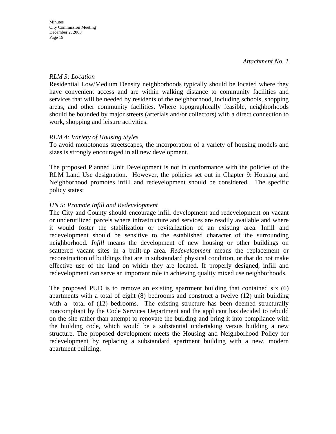#### *RLM 3: Location*

Residential Low/Medium Density neighborhoods typically should be located where they have convenient access and are within walking distance to community facilities and services that will be needed by residents of the neighborhood, including schools, shopping areas, and other community facilities. Where topographically feasible, neighborhoods should be bounded by major streets (arterials and/or collectors) with a direct connection to work, shopping and leisure activities.

### *RLM 4: Variety of Housing Styles*

To avoid monotonous streetscapes, the incorporation of a variety of housing models and sizes is strongly encouraged in all new development.

The proposed Planned Unit Development is not in conformance with the policies of the RLM Land Use designation. However, the policies set out in Chapter 9: Housing and Neighborhood promotes infill and redevelopment should be considered. The specific policy states:

#### *HN 5: Promote Infill and Redevelopment*

The City and County should encourage infill development and redevelopment on vacant or underutilized parcels where infrastructure and services are readily available and where it would foster the stabilization or revitalization of an existing area. Infill and redevelopment should be sensitive to the established character of the surrounding neighborhood. *Infill* means the development of new housing or other buildings on scattered vacant sites in a built-up area. *Redevelopment* means the replacement or reconstruction of buildings that are in substandard physical condition, or that do not make effective use of the land on which they are located. If properly designed, infill and redevelopment can serve an important role in achieving quality mixed use neighborhoods.

The proposed PUD is to remove an existing apartment building that contained six (6) apartments with a total of eight (8) bedrooms and construct a twelve (12) unit building with a total of (12) bedrooms. The existing structure has been deemed structurally noncompliant by the Code Services Department and the applicant has decided to rebuild on the site rather than attempt to renovate the building and bring it into compliance with the building code, which would be a substantial undertaking versus building a new structure. The proposed development meets the Housing and Neighborhood Policy for redevelopment by replacing a substandard apartment building with a new, modern apartment building.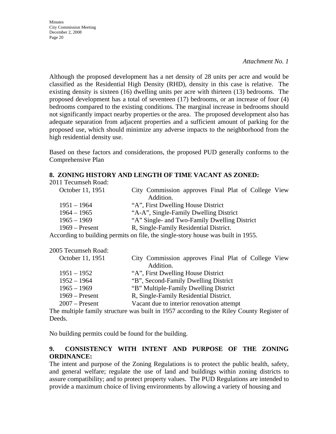**Minutes** City Commission Meeting December 2, 2008 Page 20

Although the proposed development has a net density of 28 units per acre and would be classified as the Residential High Density (RHD), density in this case is relative. The existing density is sixteen (16) dwelling units per acre with thirteen (13) bedrooms. The proposed development has a total of seventeen (17) bedrooms, or an increase of four (4) bedrooms compared to the existing conditions. The marginal increase in bedrooms should not significantly impact nearby properties or the area. The proposed development also has adequate separation from adjacent properties and a sufficient amount of parking for the proposed use, which should minimize any adverse impacts to the neighborhood from the high residential density use.

Based on these factors and considerations, the proposed PUD generally conforms to the Comprehensive Plan

#### **8. ZONING HISTORY AND LENGTH OF TIME VACANT AS ZONED:**

| October 11, 1951 | City Commission approves Final Plat of College View                       |
|------------------|---------------------------------------------------------------------------|
|                  | Addition.                                                                 |
| $1951 - 1964$    | "A", First Dwelling House District                                        |
| $1964 - 1965$    | "A-A", Single-Family Dwelling District                                    |
| $1965 - 1969$    | "A" Single- and Two-Family Dwelling District                              |
| $1969$ – Present | R, Single-Family Residential District.                                    |
| .                | $\cdots$ and $\cdots$ and $\cdots$ and $\cdots$ and $\cdots$ and $\cdots$ |

According to building permits on file, the single-story house was built in 1955.

| 2005 Tecumseh Road: |                                                     |
|---------------------|-----------------------------------------------------|
| October 11, 1951    | City Commission approves Final Plat of College View |
|                     | Addition.                                           |
| $1951 - 1952$       | "A", First Dwelling House District                  |
| $1952 - 1964$       | "B", Second-Family Dwelling District                |
| $1965 - 1969$       | "B" Multiple-Family Dwelling District               |
| $1969 -$ Present    | R, Single-Family Residential District.              |
| $2007$ – Present    | Vacant due to interior renovation attempt           |

The multiple family structure was built in 1957 according to the Riley County Register of Deeds.

No building permits could be found for the building.

#### **9. CONSISTENCY WITH INTENT AND PURPOSE OF THE ZONING ORDINANCE:**

The intent and purpose of the Zoning Regulations is to protect the public health, safety, and general welfare; regulate the use of land and buildings within zoning districts to assure compatibility; and to protect property values. The PUD Regulations are intended to provide a maximum choice of living environments by allowing a variety of housing and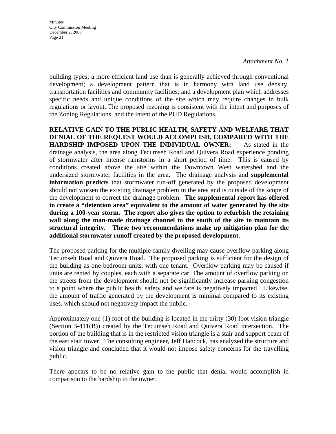*Attachment No. 1* 

building types; a more efficient land use than is generally achieved through conventional development; a development pattern that is in harmony with land use density, transportation facilities and community facilities; and a development plan which addresses specific needs and unique conditions of the site which may require changes in bulk regulations or layout. The proposed rezoning is consistent with the intent and purposes of the Zoning Regulations, and the intent of the PUD Regulations.

**RELATIVE GAIN TO THE PUBLIC HEALTH, SAFETY AND WELFARE THAT DENIAL OF THE REQUEST WOULD ACCOMPLISH, COMPARED WITH THE HARDSHIP IMPOSED UPON THE INDIVIDUAL OWNER:** As stated in the drainage analysis, the area along Tecumseh Road and Quivera Road experience ponding of stormwater after intense rainstorms in a short period of time. This is caused by conditions created above the site within the Downtown West watershed and the undersized stormwater facilities in the area. The drainage analysis and **supplemental information predicts** that stormwater run-off generated by the proposed development should not worsen the existing drainage problem in the area and is outside of the scope of the development to correct the drainage problem. **The supplemental report has offered to create a "detention area" equivalent to the amount of water generated by the site during a 100-year storm. The report also gives the option to refurbish the retaining wall along the man-made drainage channel to the south of the site to maintain its structural integrity. These two recommendations make up mitigation plan for the additional stormwater runoff created by the proposed development.**

The proposed parking for the multiple-family dwelling may cause overflow parking along Tecumseh Road and Quivera Road. The proposed parking is sufficient for the design of the building as one-bedroom units, with one tenant. Overflow parking may be caused if units are rented by couples, each with a separate car. The amount of overflow parking on the streets from the development should not be significantly increase parking congestion to a point where the public health, safety and welfare is negatively impacted. Likewise, the amount of traffic generated by the development is minimal compared to its existing uses, which should not negatively impact the public.

Approximately one (1) foot of the building is located in the thirty (30) foot vision triangle (Section 3-411(B)) created by the Tecumseh Road and Quivera Road intersection. The portion of the building that is in the restricted vision triangle is a stair and support beam of the east stair tower. The consulting engineer, Jeff Hancock, has analyzed the structure and vision triangle and concluded that it would not impose safety concerns for the travelling public.

There appears to be no relative gain to the public that denial would accomplish in comparison to the hardship to the owner.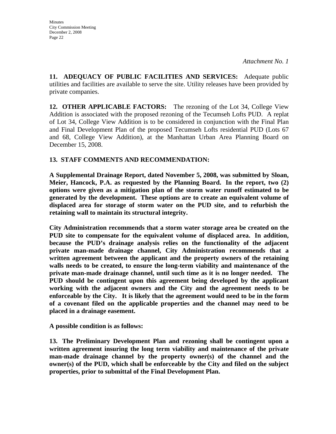**11. ADEQUACY OF PUBLIC FACILITIES AND SERVICES:** Adequate public utilities and facilities are available to serve the site. Utility releases have been provided by private companies.

**12. OTHER APPLICABLE FACTORS:** The rezoning of the Lot 34, College View Addition is associated with the proposed rezoning of the Tecumseh Lofts PUD. A replat of Lot 34, College View Addition is to be considered in conjunction with the Final Plan and Final Development Plan of the proposed Tecumseh Lofts residential PUD (Lots 67 and 68, College View Addition), at the Manhattan Urban Area Planning Board on December 15, 2008.

### **13. STAFF COMMENTS AND RECOMMENDATION:**

**A Supplemental Drainage Report, dated November 5, 2008, was submitted by Sloan, Meier, Hancock, P.A. as requested by the Planning Board. In the report, two (2) options were given as a mitigation plan of the storm water runoff estimated to be generated by the development. These options are to create an equivalent volume of displaced area for storage of storm water on the PUD site, and to refurbish the retaining wall to maintain its structural integrity.** 

**City Administration recommends that a storm water storage area be created on the PUD site to compensate for the equivalent volume of displaced area. In addition, because the PUD's drainage analysis relies on the functionality of the adjacent private man-made drainage channel, City Administration recommends that a written agreement between the applicant and the property owners of the retaining walls needs to be created, to ensure the long-term viability and maintenance of the private man-made drainage channel, until such time as it is no longer needed. The PUD should be contingent upon this agreement being developed by the applicant working with the adjacent owners and the City and the agreement needs to be enforceable by the City. It is likely that the agreement would need to be in the form of a covenant filed on the applicable properties and the channel may need to be placed in a drainage easement.** 

**A possible condition is as follows:** 

**13. The Preliminary Development Plan and rezoning shall be contingent upon a written agreement insuring the long term viability and maintenance of the private man-made drainage channel by the property owner(s) of the channel and the owner(s) of the PUD, which shall be enforceable by the City and filed on the subject properties, prior to submittal of the Final Development Plan.**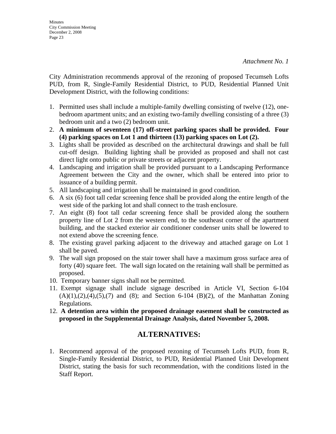City Administration recommends approval of the rezoning of proposed Tecumseh Lofts PUD, from R, Single-Family Residential District, to PUD, Residential Planned Unit Development District, with the following conditions:

- 1. Permitted uses shall include a multiple-family dwelling consisting of twelve (12), onebedroom apartment units; and an existing two-family dwelling consisting of a three (3) bedroom unit and a two (2) bedroom unit.
- 2. **A minimum of seventeen (17) off-street parking spaces shall be provided. Four (4) parking spaces on Lot 1 and thirteen (13) parking spaces on Lot (2).**
- 3. Lights shall be provided as described on the architectural drawings and shall be full cut-off design. Building lighting shall be provided as proposed and shall not cast direct light onto public or private streets or adjacent property.
- 4. Landscaping and irrigation shall be provided pursuant to a Landscaping Performance Agreement between the City and the owner, which shall be entered into prior to issuance of a building permit.
- 5. All landscaping and irrigation shall be maintained in good condition.
- 6. A six (6) foot tall cedar screening fence shall be provided along the entire length of the west side of the parking lot and shall connect to the trash enclosure.
- 7. An eight (8) foot tall cedar screening fence shall be provided along the southern property line of Lot 2 from the western end, to the southeast corner of the apartment building, and the stacked exterior air conditioner condenser units shall be lowered to not extend above the screening fence.
- 8. The existing gravel parking adjacent to the driveway and attached garage on Lot 1 shall be paved.
- 9. The wall sign proposed on the stair tower shall have a maximum gross surface area of forty (40) square feet. The wall sign located on the retaining wall shall be permitted as proposed.
- 10. Temporary banner signs shall not be permitted.
- 11. Exempt signage shall include signage described in Article VI, Section 6-104  $(A)(1),(2),(4),(5),(7)$  and  $(8)$ ; and Section 6-104  $(B)(2)$ , of the Manhattan Zoning Regulations.
- 12. **A detention area within the proposed drainage easement shall be constructed as proposed in the Supplemental Drainage Analysis, dated November 5, 2008.**

## **ALTERNATIVES:**

1. Recommend approval of the proposed rezoning of Tecumseh Lofts PUD, from R, Single-Family Residential District, to PUD, Residential Planned Unit Development District, stating the basis for such recommendation, with the conditions listed in the Staff Report.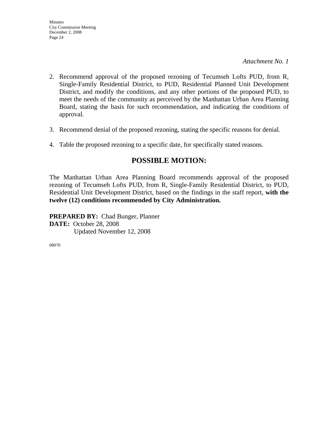- 2. Recommend approval of the proposed rezoning of Tecumseh Lofts PUD, from R, Single-Family Residential District, to PUD, Residential Planned Unit Development District, and modify the conditions, and any other portions of the proposed PUD, to meet the needs of the community as perceived by the Manhattan Urban Area Planning Board, stating the basis for such recommendation, and indicating the conditions of approval.
- 3. Recommend denial of the proposed rezoning, stating the specific reasons for denial.
- 4. Table the proposed rezoning to a specific date, for specifically stated reasons.

## **POSSIBLE MOTION:**

The Manhattan Urban Area Planning Board recommends approval of the proposed rezoning of Tecumseh Lofts PUD, from R, Single-Family Residential District, to PUD, Residential Unit Development District, based on the findings in the staff report, **with the twelve (12) conditions recommended by City Administration.** 

**PREPARED BY:** Chad Bunger, Planner **DATE:** October 28, 2008 Updated November 12, 2008

08070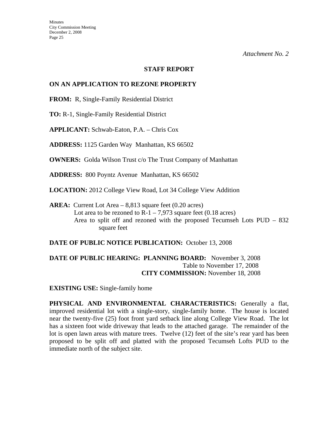#### **STAFF REPORT**

#### **ON AN APPLICATION TO REZONE PROPERTY**

**FROM:** R, Single-Family Residential District

**TO:** R-1, Single-Family Residential District

**APPLICANT:** Schwab-Eaton, P.A. – Chris Cox

**ADDRESS:** 1125 Garden Way Manhattan, KS 66502

**OWNERS:** Golda Wilson Trust c/o The Trust Company of Manhattan

**ADDRESS:** 800 Poyntz Avenue Manhattan, KS 66502

**LOCATION:** 2012 College View Road, Lot 34 College View Addition

**AREA:** Current Lot Area – 8,813 square feet (0.20 acres) Lot area to be rezoned to  $R-1 - 7.973$  square feet (0.18 acres) Area to split off and rezoned with the proposed Tecumseh Lots PUD – 832 square feet

**DATE OF PUBLIC NOTICE PUBLICATION:** October 13, 2008

**DATE OF PUBLIC HEARING: PLANNING BOARD:** November 3, 2008 Table to November 17, 2008 **CITY COMMISSION:** November 18, 2008

**EXISTING USE:** Single-family home

**PHYSICAL AND ENVIRONMENTAL CHARACTERISTICS:** Generally a flat, improved residential lot with a single-story, single-family home. The house is located near the twenty-five (25) foot front yard setback line along College View Road. The lot has a sixteen foot wide driveway that leads to the attached garage. The remainder of the lot is open lawn areas with mature trees. Twelve (12) feet of the site's rear yard has been proposed to be split off and platted with the proposed Tecumseh Lofts PUD to the immediate north of the subject site.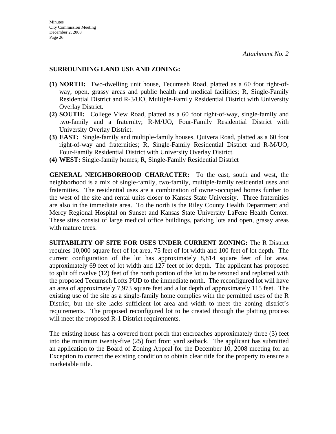#### **SURROUNDING LAND USE AND ZONING:**

- **(1) NORTH:** Two-dwelling unit house, Tecumseh Road, platted as a 60 foot right-ofway, open, grassy areas and public health and medical facilities; R, Single-Family Residential District and R-3/UO, Multiple-Family Residential District with University Overlay District.
- **(2) SOUTH:** College View Road, platted as a 60 foot right-of-way, single-family and two-family and a fraternity; R-M/UO, Four-Family Residential District with University Overlay District.
- **(3) EAST:** Single-family and multiple-family houses, Quivera Road, platted as a 60 foot right-of-way and fraternities; R, Single-Family Residential District and R-M/UO, Four-Family Residential District with University Overlay District.
- **(4) WEST:** Single-family homes; R, Single-Family Residential District

**GENERAL NEIGHBORHOOD CHARACTER:** To the east, south and west, the neighborhood is a mix of single-family, two-family, multiple-family residential uses and fraternities. The residential uses are a combination of owner-occupied homes further to the west of the site and rental units closer to Kansas State University. Three fraternities are also in the immediate area. To the north is the Riley County Health Department and Mercy Regional Hospital on Sunset and Kansas State University LaFene Health Center. These sites consist of large medical office buildings, parking lots and open, grassy areas with mature trees.

**SUITABILITY OF SITE FOR USES UNDER CURRENT ZONING:** The R District requires 10,000 square feet of lot area, 75 feet of lot width and 100 feet of lot depth. The current configuration of the lot has approximately 8,814 square feet of lot area, approximately 69 feet of lot width and 127 feet of lot depth. The applicant has proposed to split off twelve (12) feet of the north portion of the lot to be rezoned and replatted with the proposed Tecumseh Lofts PUD to the immediate north. The reconfigured lot will have an area of approximately 7,973 square feet and a lot depth of approximately 115 feet. The existing use of the site as a single-family home complies with the permitted uses of the R District, but the site lacks sufficient lot area and width to meet the zoning district's requirements. The proposed reconfigured lot to be created through the platting process will meet the proposed R-1 District requirements.

The existing house has a covered front porch that encroaches approximately three (3) feet into the minimum twenty-five (25) foot front yard setback. The applicant has submitted an application to the Board of Zoning Appeal for the December 10, 2008 meeting for an Exception to correct the existing condition to obtain clear title for the property to ensure a marketable title.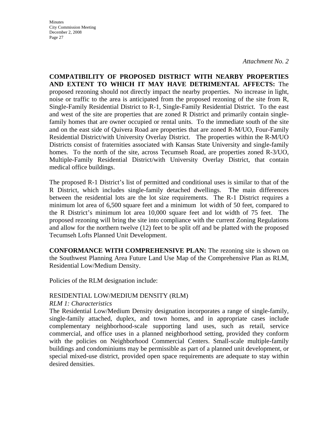*Attachment No. 2* 

**COMPATIBILITY OF PROPOSED DISTRICT WITH NEARBY PROPERTIES AND EXTENT TO WHICH IT MAY HAVE DETRIMENTAL AFFECTS:** The proposed rezoning should not directly impact the nearby properties. No increase in light, noise or traffic to the area is anticipated from the proposed rezoning of the site from R, Single-Family Residential District to R-1, Single-Family Residential District. To the east and west of the site are properties that are zoned R District and primarily contain singlefamily homes that are owner occupied or rental units. To the immediate south of the site and on the east side of Quivera Road are properties that are zoned R-M/UO, Four-Family Residential District/with University Overlay District. The properties within the R-M/UO Districts consist of fraternities associated with Kansas State University and single-family homes. To the north of the site, across Tecumseh Road, are properties zoned R-3/UO, Multiple-Family Residential District/with University Overlay District, that contain medical office buildings.

The proposed R-1 District's list of permitted and conditional uses is similar to that of the R District, which includes single-family detached dwellings. The main differences between the residential lots are the lot size requirements. The R-1 District requires a minimum lot area of 6,500 square feet and a minimum lot width of 50 feet, compared to the R District's minimum lot area 10,000 square feet and lot width of 75 feet. The proposed rezoning will bring the site into compliance with the current Zoning Regulations and allow for the northern twelve (12) feet to be split off and be platted with the proposed Tecumseh Lofts Planned Unit Development.

**CONFORMANCE WITH COMPREHENSIVE PLAN:** The rezoning site is shown on the Southwest Planning Area Future Land Use Map of the Comprehensive Plan as RLM, Residential Low/Medium Density.

Policies of the RLM designation include:

#### RESIDENTIAL LOW/MEDIUM DENSITY (RLM)

#### *RLM 1: Characteristics*

The Residential Low/Medium Density designation incorporates a range of single-family, single-family attached, duplex, and town homes, and in appropriate cases include complementary neighborhood-scale supporting land uses, such as retail, service commercial, and office uses in a planned neighborhood setting, provided they conform with the policies on Neighborhood Commercial Centers. Small-scale multiple-family buildings and condominiums may be permissible as part of a planned unit development, or special mixed-use district, provided open space requirements are adequate to stay within desired densities.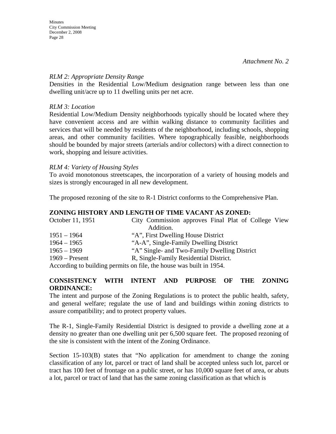#### *RLM 2: Appropriate Density Range*

Densities in the Residential Low/Medium designation range between less than one dwelling unit/acre up to 11 dwelling units per net acre.

### *RLM 3: Location*

Residential Low/Medium Density neighborhoods typically should be located where they have convenient access and are within walking distance to community facilities and services that will be needed by residents of the neighborhood, including schools, shopping areas, and other community facilities. Where topographically feasible, neighborhoods should be bounded by major streets (arterials and/or collectors) with a direct connection to work, shopping and leisure activities.

### *RLM 4: Variety of Housing Styles*

To avoid monotonous streetscapes, the incorporation of a variety of housing models and sizes is strongly encouraged in all new development.

The proposed rezoning of the site to R-1 District conforms to the Comprehensive Plan.

### **ZONING HISTORY AND LENGTH OF TIME VACANT AS ZONED:**

| October 11, 1951 | City Commission approves Final Plat of College View                 |
|------------------|---------------------------------------------------------------------|
|                  | Addition.                                                           |
| $1951 - 1964$    | "A", First Dwelling House District                                  |
| $1964 - 1965$    | "A-A", Single-Family Dwelling District                              |
| $1965 - 1969$    | "A" Single- and Two-Family Dwelling District                        |
| $1969$ – Present | R, Single-Family Residential District.                              |
|                  | According to building permits on file, the house was built in 1954. |

### **CONSISTENCY WITH INTENT AND PURPOSE OF THE ZONING ORDINANCE:**

The intent and purpose of the Zoning Regulations is to protect the public health, safety, and general welfare; regulate the use of land and buildings within zoning districts to assure compatibility; and to protect property values.

The R-1, Single-Family Residential District is designed to provide a dwelling zone at a density no greater than one dwelling unit per 6,500 square feet. The proposed rezoning of the site is consistent with the intent of the Zoning Ordinance.

Section 15-103(B) states that "No application for amendment to change the zoning classification of any lot, parcel or tract of land shall be accepted unless such lot, parcel or tract has 100 feet of frontage on a public street, or has 10,000 square feet of area, or abuts a lot, parcel or tract of land that has the same zoning classification as that which is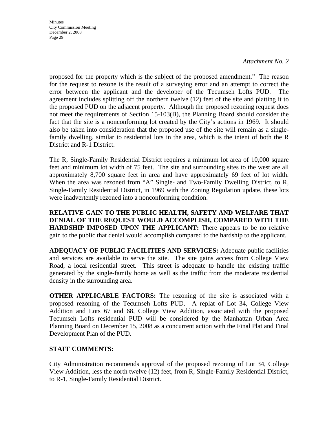#### *Attachment No. 2*

proposed for the property which is the subject of the proposed amendment." The reason for the request to rezone is the result of a surveying error and an attempt to correct the error between the applicant and the developer of the Tecumseh Lofts PUD. The agreement includes splitting off the northern twelve (12) feet of the site and platting it to the proposed PUD on the adjacent property. Although the proposed rezoning request does not meet the requirements of Section 15-103(B), the Planning Board should consider the fact that the site is a nonconforming lot created by the City's actions in 1969. It should also be taken into consideration that the proposed use of the site will remain as a singlefamily dwelling, similar to residential lots in the area, which is the intent of both the R District and R-1 District.

The R, Single-Family Residential District requires a minimum lot area of 10,000 square feet and minimum lot width of 75 feet. The site and surrounding sites to the west are all approximately 8,700 square feet in area and have approximately 69 feet of lot width. When the area was rezoned from "A" Single- and Two-Family Dwelling District, to R, Single-Family Residential District, in 1969 with the Zoning Regulation update, these lots were inadvertently rezoned into a nonconforming condition.

**RELATIVE GAIN TO THE PUBLIC HEALTH, SAFETY AND WELFARE THAT DENIAL OF THE REQUEST WOULD ACCOMPLISH, COMPARED WITH THE HARDSHIP IMPOSED UPON THE APPLICANT:** There appears to be no relative gain to the public that denial would accomplish compared to the hardship to the applicant.

**ADEQUACY OF PUBLIC FACILITIES AND SERVICES:** Adequate public facilities and services are available to serve the site. The site gains access from College View Road, a local residential street. This street is adequate to handle the existing traffic generated by the single-family home as well as the traffic from the moderate residential density in the surrounding area.

**OTHER APPLICABLE FACTORS:** The rezoning of the site is associated with a proposed rezoning of the Tecumseh Lofts PUD. A replat of Lot 34, College View Addition and Lots 67 and 68, College View Addition, associated with the proposed Tecumseh Lofts residential PUD will be considered by the Manhattan Urban Area Planning Board on December 15, 2008 as a concurrent action with the Final Plat and Final Development Plan of the PUD.

### **STAFF COMMENTS:**

City Administration recommends approval of the proposed rezoning of Lot 34, College View Addition, less the north twelve (12) feet, from R, Single-Family Residential District, to R-1, Single-Family Residential District.